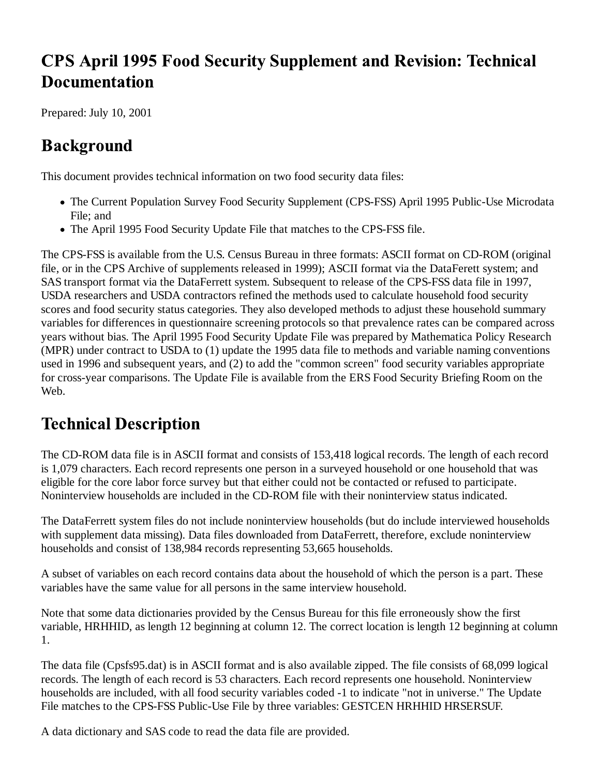# **CPS April 1995 Food Security Supplement and Revision: Technical Documentation**

Prepared: July 10, 2001

# **Background**

This document provides technical information on two food security data files:

- The Current Population Survey Food Security Supplement (CPS-FSS) April 1995 Public-Use Microdata File; and
- The April 1995 Food Security Update File that matches to the CPS-FSS file.

The CPS-FSS is available from the U.S. Census Bureau in three formats: ASCII format on CD-ROM (original file, or in the CPS Archive of supplements released in 1999); ASCII format via the DataFerett system; and SAS transport format via the DataFerrett system. Subsequent to release of the CPS-FSS data file in 1997, USDA researchers and USDA contractors refined the methods used to calculate household food security scores and food security status categories. They also developed methods to adjust these household summary variables for differences in questionnaire screening protocols so that prevalence rates can be compared across years without bias. The April 1995 Food Security Update File was prepared by Mathematica Policy Research (MPR) under contract to USDA to (1) update the 1995 data file to methods and variable naming conventions used in 1996 and subsequent years, and (2) to add the "common screen" food security variables appropriate for cross-year comparisons. The Update File is available from the ERS Food Security Briefing Room on the Web.

## **Technical Description**

The CD-ROM data file is in ASCII format and consists of 153,418 logical records. The length of each record is 1,079 characters. Each record represents one person in a surveyed household or one household that was eligible for the core labor force survey but that either could not be contacted or refused to participate. Noninterview households are included in the CD-ROM file with their noninterview status indicated.

The DataFerrett system files do not include noninterview households (but do include interviewed households with supplement data missing). Data files downloaded from DataFerrett, therefore, exclude noninterview households and consist of 138,984 records representing 53,665 households.

A subset of variables on each record contains data about the household of which the person is a part. These variables have the same value for all persons in the same interview household.

Note that some data dictionaries provided by the Census Bureau for this file erroneously show the first variable, HRHHID, as length 12 beginning at column 12. The correct location is length 12 beginning at column 1.

The data file (Cpsfs95.dat) is in ASCII format and is also available zipped. The file consists of 68,099 logical records. The length of each record is 53 characters. Each record represents one household. Noninterview households are included, with all food security variables coded -1 to indicate "not in universe." The Update File matches to the CPS-FSS Public-Use File by three variables: GESTCEN HRHHID HRSERSUF.

A data dictionary and SAS code to read the data file are provided.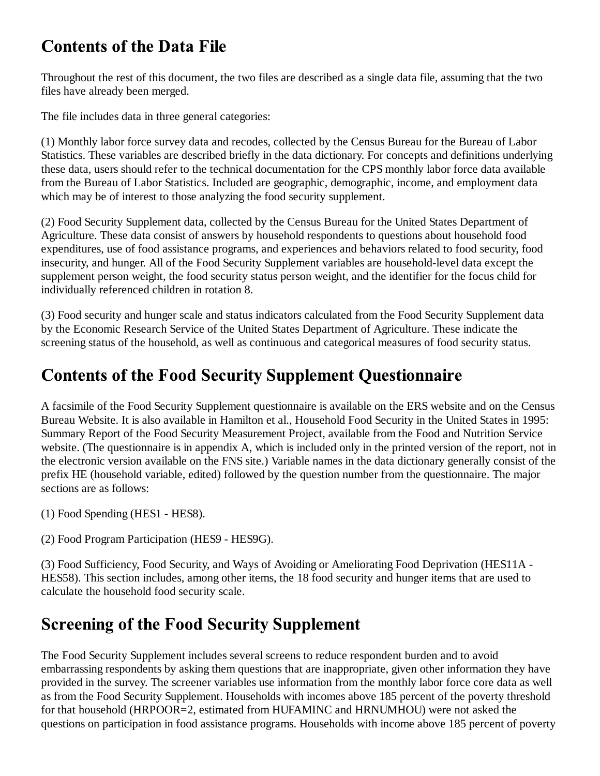# **Contents of the Data File**

Throughout the rest of this document, the two files are described as a single data file, assuming that the two files have already been merged.

The file includes data in three general categories:

(1) Monthly labor force survey data and recodes, collected by the Census Bureau for the Bureau of Labor Statistics. These variables are described briefly in the data dictionary. For concepts and definitions underlying these data, users should refer to the technical documentation for the CPS monthly labor force data available from the Bureau of Labor Statistics. Included are geographic, demographic, income, and employment data which may be of interest to those analyzing the food security supplement.

(2) Food Security Supplement data, collected by the Census Bureau for the United States Department of Agriculture. These data consist of answers by household respondents to questions about household food expenditures, use of food assistance programs, and experiences and behaviors related to food security, food insecurity, and hunger. All of the Food Security Supplement variables are household-level data except the supplement person weight, the food security status person weight, and the identifier for the focus child for individually referenced children in rotation 8.

(3) Food security and hunger scale and status indicators calculated from the Food Security Supplement data by the Economic Research Service of the United States Department of Agriculture. These indicate the screening status of the household, as well as continuous and categorical measures of food security status.

# **Contents of the Food Security Supplement Questionnaire**

A facsimile of the Food Security Supplement questionnaire is available on the ERS website and on the Census Bureau Website. It is also available in Hamilton et al., Household Food Security in the United States in 1995: Summary Report of the Food Security Measurement Project, available from the Food and Nutrition Service website. (The questionnaire is in appendix A, which is included only in the printed version of the report, not in the electronic version available on the FNS site.) Variable names in the data dictionary generally consist of the prefix HE (household variable, edited) followed by the question number from the questionnaire. The major sections are as follows:

(1) Food Spending (HES1 - HES8).

(2) Food Program Participation (HES9 - HES9G).

(3) Food Sufficiency, Food Security, and Ways of Avoiding or Ameliorating Food Deprivation (HES11A - HES58). This section includes, among other items, the 18 food security and hunger items that are used to calculate the household food security scale.

## **Screening of the Food Security Supplement**

The Food Security Supplement includes several screens to reduce respondent burden and to avoid embarrassing respondents by asking them questions that are inappropriate, given other information they have provided in the survey. The screener variables use information from the monthly labor force core data as well as from the Food Security Supplement. Households with incomes above 185 percent of the poverty threshold for that household (HRPOOR=2, estimated from HUFAMINC and HRNUMHOU) were not asked the questions on participation in food assistance programs. Households with income above 185 percent of poverty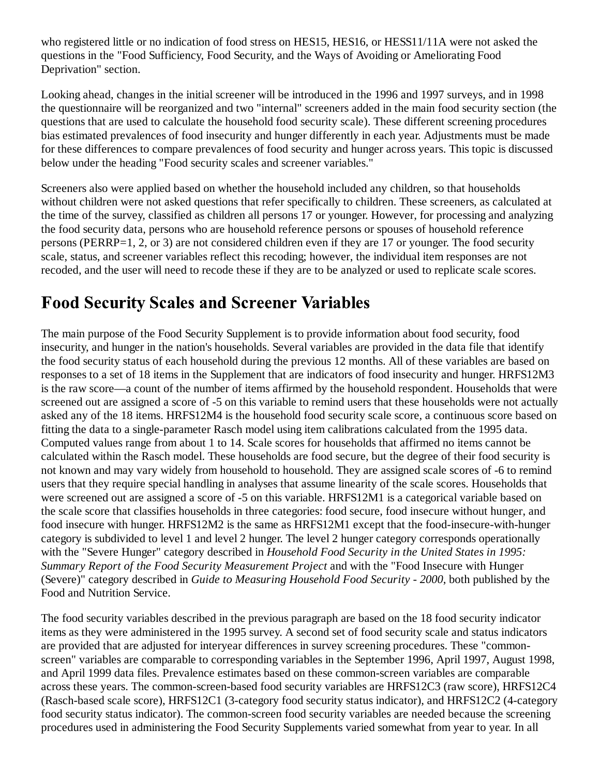who registered little or no indication of food stress on HES15, HES16, or HESS11/11A were not asked the questions in the "Food Sufficiency, Food Security, and the Ways of Avoiding or Ameliorating Food Deprivation" section.

Looking ahead, changes in the initial screener will be introduced in the 1996 and 1997 surveys, and in 1998 the questionnaire will be reorganized and two "internal" screeners added in the main food security section (the questions that are used to calculate the household food security scale). These different screening procedures bias estimated prevalences of food insecurity and hunger differently in each year. Adjustments must be made for these differences to compare prevalences of food security and hunger across years. This topic is discussed below under the heading "Food security scales and screener variables."

Screeners also were applied based on whether the household included any children, so that households without children were not asked questions that refer specifically to children. These screeners, as calculated at the time of the survey, classified as children all persons 17 or younger. However, for processing and analyzing the food security data, persons who are household reference persons or spouses of household reference persons (PERRP=1, 2, or 3) are not considered children even if they are 17 or younger. The food security scale, status, and screener variables reflect this recoding; however, the individual item responses are not recoded, and the user will need to recode these if they are to be analyzed or used to replicate scale scores.

#### **Food Security Scales and Screener Variables**

The main purpose of the Food Security Supplement is to provide information about food security, food insecurity, and hunger in the nation's households. Several variables are provided in the data file that identify the food security status of each household during the previous 12 months. All of these variables are based on responses to a set of 18 items in the Supplement that are indicators of food insecurity and hunger. HRFS12M3 is the raw score—a count of the number of items affirmed by the household respondent. Households that were screened out are assigned a score of -5 on this variable to remind users that these households were not actually asked any of the 18 items. HRFS12M4 is the household food security scale score, a continuous score based on fitting the data to a single-parameter Rasch model using item calibrations calculated from the 1995 data. Computed values range from about 1 to 14. Scale scores for households that affirmed no items cannot be calculated within the Rasch model. These households are food secure, but the degree of their food security is not known and may vary widely from household to household. They are assigned scale scores of -6 to remind users that they require special handling in analyses that assume linearity of the scale scores. Households that were screened out are assigned a score of -5 on this variable. HRFS12M1 is a categorical variable based on the scale score that classifies households in three categories: food secure, food insecure without hunger, and food insecure with hunger. HRFS12M2 is the same as HRFS12M1 except that the food-insecure-with-hunger category is subdivided to level 1 and level 2 hunger. The level 2 hunger category corresponds operationally with the "Severe Hunger" category described in *Household Food Security in the United States in 1995: Summary Report of the Food Security Measurement Project* and with the "Food Insecure with Hunger (Severe)" category described in *Guide to Measuring Household Food Security - 2000*, both published by the Food and Nutrition Service.

The food security variables described in the previous paragraph are based on the 18 food security indicator items as they were administered in the 1995 survey. A second set of food security scale and status indicators are provided that are adjusted for interyear differences in survey screening procedures. These "commonscreen" variables are comparable to corresponding variables in the September 1996, April 1997, August 1998, and April 1999 data files. Prevalence estimates based on these common-screen variables are comparable across these years. The common-screen-based food security variables are HRFS12C3 (raw score), HRFS12C4 (Rasch-based scale score), HRFS12C1 (3-category food security status indicator), and HRFS12C2 (4-category food security status indicator). The common-screen food security variables are needed because the screening procedures used in administering the Food Security Supplements varied somewhat from year to year. In all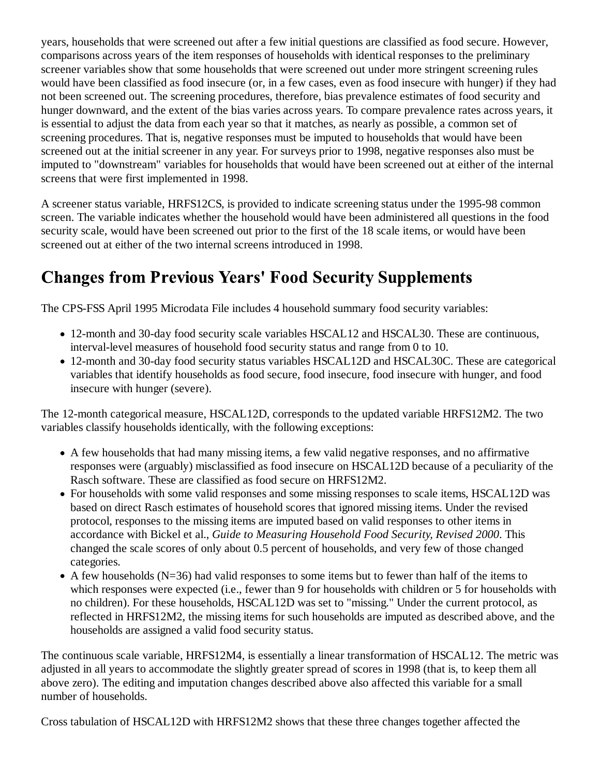years, households that were screened out after a few initial questions are classified as food secure. However, comparisons across years of the item responses of households with identical responses to the preliminary screener variables show that some households that were screened out under more stringent screening rules would have been classified as food insecure (or, in a few cases, even as food insecure with hunger) if they had not been screened out. The screening procedures, therefore, bias prevalence estimates of food security and hunger downward, and the extent of the bias varies across years. To compare prevalence rates across years, it is essential to adjust the data from each year so that it matches, as nearly as possible, a common set of screening procedures. That is, negative responses must be imputed to households that would have been screened out at the initial screener in any year. For surveys prior to 1998, negative responses also must be imputed to "downstream" variables for households that would have been screened out at either of the internal screens that were first implemented in 1998.

A screener status variable, HRFS12CS, is provided to indicate screening status under the 1995-98 common screen. The variable indicates whether the household would have been administered all questions in the food security scale, would have been screened out prior to the first of the 18 scale items, or would have been screened out at either of the two internal screens introduced in 1998.

# **Changes from Previous Years' Food Security Supplements**

The CPS-FSS April 1995 Microdata File includes 4 household summary food security variables:

- 12-month and 30-day food security scale variables HSCAL12 and HSCAL30. These are continuous, interval-level measures of household food security status and range from 0 to 10.
- 12-month and 30-day food security status variables HSCAL12D and HSCAL30C. These are categorical variables that identify households as food secure, food insecure, food insecure with hunger, and food insecure with hunger (severe).

The 12-month categorical measure, HSCAL12D, corresponds to the updated variable HRFS12M2. The two variables classify households identically, with the following exceptions:

- A few households that had many missing items, a few valid negative responses, and no affirmative responses were (arguably) misclassified as food insecure on HSCAL12D because of a peculiarity of the Rasch software. These are classified as food secure on HRFS12M2.
- For households with some valid responses and some missing responses to scale items, HSCAL12D was based on direct Rasch estimates of household scores that ignored missing items. Under the revised protocol, responses to the missing items are imputed based on valid responses to other items in accordance with Bickel et al., *Guide to Measuring Household Food Security, Revised 2000*. This changed the scale scores of only about 0.5 percent of households, and very few of those changed categories.
- $\bullet$  A few households (N=36) had valid responses to some items but to fewer than half of the items to which responses were expected (i.e., fewer than 9 for households with children or 5 for households with no children). For these households, HSCAL12D was set to "missing." Under the current protocol, as reflected in HRFS12M2, the missing items for such households are imputed as described above, and the households are assigned a valid food security status.

The continuous scale variable, HRFS12M4, is essentially a linear transformation of HSCAL12. The metric was adjusted in all years to accommodate the slightly greater spread of scores in 1998 (that is, to keep them all above zero). The editing and imputation changes described above also affected this variable for a small number of households.

Cross tabulation of HSCAL12D with HRFS12M2 shows that these three changes together affected the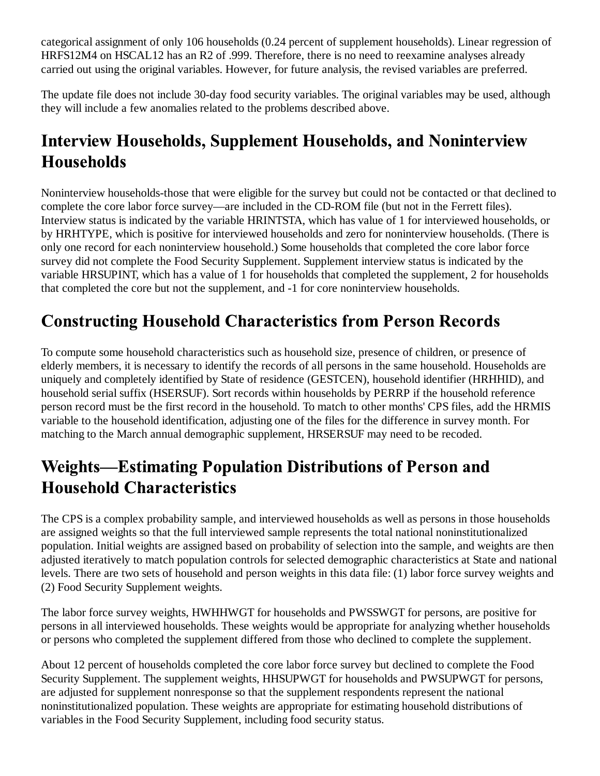categorical assignment of only 106 households (0.24 percent of supplement households). Linear regression of HRFS12M4 on HSCAL12 has an R2 of .999. Therefore, there is no need to reexamine analyses already carried out using the original variables. However, for future analysis, the revised variables are preferred.

The update file does not include 30-day food security variables. The original variables may be used, although they will include a few anomalies related to the problems described above.

# **Interview Households, Supplement Households, and Noninterview Households**

Noninterview households-those that were eligible for the survey but could not be contacted or that declined to complete the core labor force survey—are included in the CD-ROM file (but not in the Ferrett files). Interview status is indicated by the variable HRINTSTA, which has value of 1 for interviewed households, or by HRHTYPE, which is positive for interviewed households and zero for noninterview households. (There is only one record for each noninterview household.) Some households that completed the core labor force survey did not complete the Food Security Supplement. Supplement interview status is indicated by the variable HRSUPINT, which has a value of 1 for households that completed the supplement, 2 for households that completed the core but not the supplement, and -1 for core noninterview households.

# **Constructing Household Characteristics from Person Records**

To compute some household characteristics such as household size, presence of children, or presence of elderly members, it is necessary to identify the records of all persons in the same household. Households are uniquely and completely identified by State of residence (GESTCEN), household identifier (HRHHID), and household serial suffix (HSERSUF). Sort records within households by PERRP if the household reference person record must be the first record in the household. To match to other months' CPS files, add the HRMIS variable to the household identification, adjusting one of the files for the difference in survey month. For matching to the March annual demographic supplement, HRSERSUF may need to be recoded.

## **Weights-Estimating Population Distributions of Person and Household Characteristics**

The CPS is a complex probability sample, and interviewed households as well as persons in those households are assigned weights so that the full interviewed sample represents the total national noninstitutionalized population. Initial weights are assigned based on probability of selection into the sample, and weights are then adjusted iteratively to match population controls for selected demographic characteristics at State and national levels. There are two sets of household and person weights in this data file: (1) labor force survey weights and (2) Food Security Supplement weights.

The labor force survey weights, HWHHWGT for households and PWSSWGT for persons, are positive for persons in all interviewed households. These weights would be appropriate for analyzing whether households or persons who completed the supplement differed from those who declined to complete the supplement.

About 12 percent of households completed the core labor force survey but declined to complete the Food Security Supplement. The supplement weights, HHSUPWGT for households and PWSUPWGT for persons, are adjusted for supplement nonresponse so that the supplement respondents represent the national noninstitutionalized population. These weights are appropriate for estimating household distributions of variables in the Food Security Supplement, including food security status.